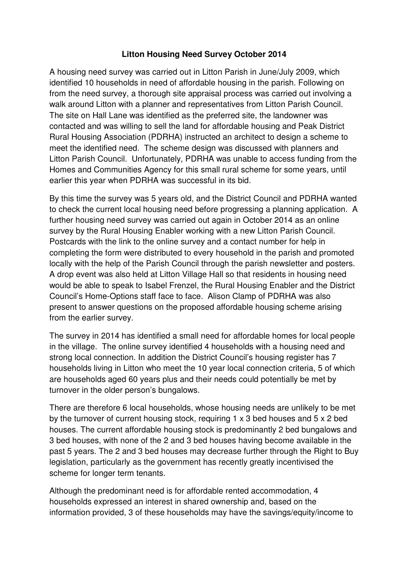## **Litton Housing Need Survey October 2014**

 A housing need survey was carried out in Litton Parish in June/July 2009, which identified 10 households in need of affordable housing in the parish. Following on from the need survey, a thorough site appraisal process was carried out involving a walk around Litton with a planner and representatives from Litton Parish Council. The site on Hall Lane was identified as the preferred site, the landowner was contacted and was willing to sell the land for affordable housing and Peak District Rural Housing Association (PDRHA) instructed an architect to design a scheme to meet the identified need. The scheme design was discussed with planners and Litton Parish Council. Unfortunately, PDRHA was unable to access funding from the Homes and Communities Agency for this small rural scheme for some years, until earlier this year when PDRHA was successful in its bid.

 By this time the survey was 5 years old, and the District Council and PDRHA wanted to check the current local housing need before progressing a planning application. A further housing need survey was carried out again in October 2014 as an online survey by the Rural Housing Enabler working with a new Litton Parish Council. Postcards with the link to the online survey and a contact number for help in completing the form were distributed to every household in the parish and promoted locally with the help of the Parish Council through the parish newsletter and posters. A drop event was also held at Litton Village Hall so that residents in housing need would be able to speak to Isabel Frenzel, the Rural Housing Enabler and the District Council's Home-Options staff face to face. Alison Clamp of PDRHA was also present to answer questions on the proposed affordable housing scheme arising from the earlier survey.

 The survey in 2014 has identified a small need for affordable homes for local people in the village. The online survey identified 4 households with a housing need and strong local connection. In addition the District Council's housing register has 7 households living in Litton who meet the 10 year local connection criteria, 5 of which are households aged 60 years plus and their needs could potentially be met by turnover in the older person's bungalows.

 There are therefore 6 local households, whose housing needs are unlikely to be met by the turnover of current housing stock, requiring 1 x 3 bed houses and 5 x 2 bed houses. The current affordable housing stock is predominantly 2 bed bungalows and 3 bed houses, with none of the 2 and 3 bed houses having become available in the past 5 years. The 2 and 3 bed houses may decrease further through the Right to Buy legislation, particularly as the government has recently greatly incentivised the scheme for longer term tenants.

 Although the predominant need is for affordable rented accommodation, 4 households expressed an interest in shared ownership and, based on the information provided, 3 of these households may have the savings/equity/income to